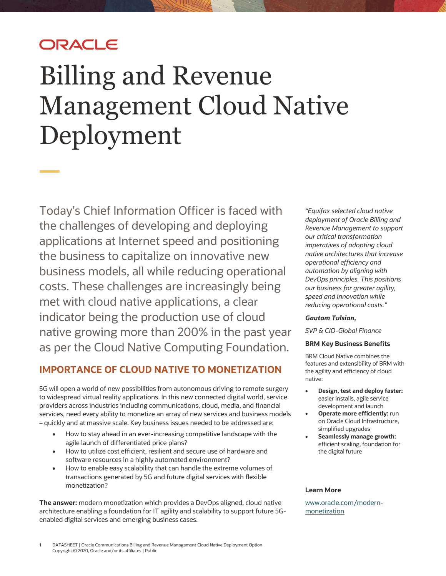## ORACLE

# Billing and Revenue Management Cloud Native Deployment

Today's Chief Information Officer is faced with the challenges of developing and deploying applications at Internet speed and positioning the business to capitalize on innovative new business models, all while reducing operational costs. These challenges are increasingly being met with cloud native applications, a clear indicator being the production use of cloud native growing more than 200% in the past year as per the Cloud Native Computing Foundation.

## **IMPORTANCE OF CLOUD NATIVE TO MONETIZATION**

5G will open a world of new possibilities from autonomous driving to remote surgery to widespread virtual reality applications. In this new connected digital world, service providers across industries including communications, cloud, media, and financial services, need every ability to monetize an array of new services and business models – quickly and at massive scale. Key business issues needed to be addressed are:

- How to stay ahead in an ever-increasing competitive landscape with the agile launch of differentiated price plans?
- How to utilize cost efficient, resilient and secure use of hardware and software resources in a highly automated environment?
- How to enable easy scalability that can handle the extreme volumes of transactions generated by 5G and future digital services with flexible monetization?

**The answer:** modern monetization which provides a DevOps aligned, cloud native architecture enabling a foundation for IT agility and scalability to support future 5Genabled digital services and emerging business cases.

*"Equifax selected cloud native deployment of Oracle Billing and Revenue Management to support our critical transformation imperatives of adopting cloud native architectures that increase operational efficiency and automation by aligning with DevOps principles. This positions our business for greater agility, speed and innovation while reducing operational costs."*

#### *Gautam Tulsian,*

*SVP & CIO-Global Finance*

#### **BRM Key Business Benefits**

BRM Cloud Native combines the features and extensibility of BRM with the agility and efficiency of cloud native:

- **Design, test and deploy faster:** easier installs, agile service development and launch
- **Operate more efficiently:** run on Oracle Cloud Infrastructure, simplified upgrades
- **Seamlessly manage growth:** efficient scaling, foundation for the digital future

#### **Learn More**

[www.oracle.com/modern](http://www.oracle.com/modern-monetization)[monetization](http://www.oracle.com/modern-monetization)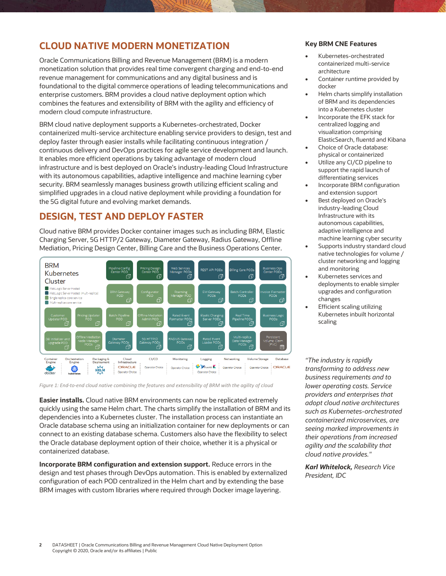## **CLOUD NATIVE MODERN MONETIZATION**

Oracle Communications Billing and Revenue Management (BRM) is a modern monetization solution that provides real time convergent charging and end-to-end revenue management for communications and any digital business and is foundational to the digital commerce operations of leading telecommunications and enterprise customers. BRM provides a cloud native deployment option which combines the features and extensibility of BRM with the agility and efficiency of modern cloud compute infrastructure.

BRM cloud native deployment supports a Kubernetes-orchestrated, Docker containerized multi-service architecture enabling service providers to design, test and deploy faster through easier installs while facilitating continuous integration / continuous delivery and DevOps practices for agile service development and launch. It enables more efficient operations by taking advantage of modern cloud infrastructure and is best deployed on Oracle's industry-leading Cloud Infrastructure with its autonomous capabilities, adaptive intelligence and machine learning cyber security. BRM seamlessly manages business growth utilizing efficient scaling and simplified upgrades in a cloud native deployment while providing a foundation for the 5G digital future and evolving market demands.

## **DESIGN, TEST AND DEPLOY FASTER**

Cloud native BRM provides Docker container images such as including BRM, Elastic Charging Server, 5G HTTP/2 Gateway, Diameter Gateway, Radius Gateway, Offline Mediation, Pricing Design Center, Billing Care and the Business Operations Center.



*Figure 1: End-to-end cloud native combining the features and extensibility of BRM with the agility of cloud* 

**Easier installs.** Cloud native BRM environments can now be replicated extremely quickly using the same Helm chart. The charts simplify the installation of BRM and its dependencies into a Kubernetes cluster. The installation process can instantiate an Oracle database schema using an initialization container for new deployments or can connect to an existing database schema. Customers also have the flexibility to select the Oracle database deployment option of their choice, whether it is a physical or containerized database.

**Incorporate BRM configuration and extension support.** Reduce errors in the design and test phases through DevOps automation. This is enabled by externalized configuration of each POD centralized in the Helm chart and by extending the base BRM images with custom libraries where required through Docker image layering.

#### **Key BRM CNE Features**

- Kubernetes-orchestrated containerized multi-service architecture
- Container runtime provided by docker
- Helm charts simplify installation of BRM and its dependencies into a Kubernetes cluster
- Incorporate the EFK stack for centralized logging and visualization comprising ElasticSearch, fluentd and Kibana
- Choice of Oracle database: physical or containerized
- Utilize any CI/CD pipeline to support the rapid launch of differentiating services
- Incorporate BRM configuration and extension support
- Best deployed on Oracle's industry-leading Cloud Infrastructure with its autonomous capabilities, adaptive intelligence and machine learning cyber security
- Supports industry standard cloud native technologies for volume / cluster networking and logging and monitoring
- Kubernetes services and deployments to enable simpler upgrades and configuration changes
- **Efficient scaling utilizing** Kubernetes inbuilt horizontal scaling

*"The industry is rapidly transforming to address new business requirements and to lower operating costs. Service providers and enterprises that adopt cloud native architectures such as Kubernetes-orchestrated containerized microservices, are seeing marked improvements in their operations from increased agility and the scalability that cloud native provides."*

*Karl Whitelock, Research Vice President, IDC*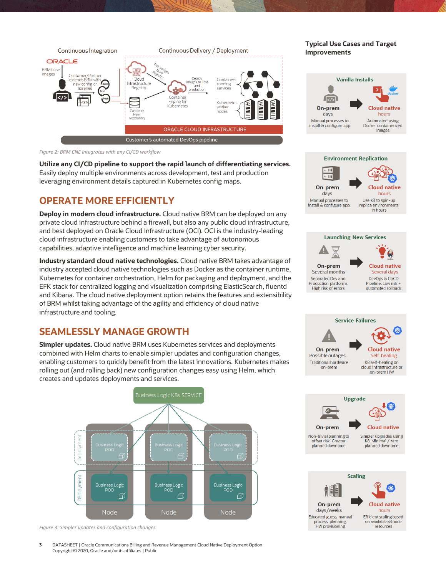

*Figure 2: BRM CNE integrates with any CI/CD workflow* 

**Utilize any CI/CD pipeline to support the rapid launch of differentiating services.** Easily deploy multiple environments across development, test and production leveraging environment details captured in Kubernetes config maps.

## **OPERATE MORE EFFICIENTLY**

**Deploy in modern cloud infrastructure.** Cloud native BRM can be deployed on any private cloud infrastructure behind a firewall, but also any public cloud infrastructure, and best deployed on Oracle Cloud Infrastructure (OCI). OCI is the industry-leading cloud infrastructure enabling customers to take advantage of autonomous capabilities, adaptive intelligence and machine learning cyber security.

**Industry standard cloud native technologies.** Cloud native BRM takes advantage of industry accepted cloud native technologies such as Docker as the container runtime, Kubernetes for container orchestration, Helm for packaging and deployment, and the EFK stack for centralized logging and visualization comprising ElasticSearch, fluentd and Kibana. The cloud native deployment option retains the features and extensibility of BRM whilst taking advantage of the agility and efficiency of cloud native infrastructure and tooling.

## **SEAMLESSLY MANAGE GROWTH**

**Simpler updates.** Cloud native BRM uses Kubernetes services and deployments combined with Helm charts to enable simpler updates and configuration changes, enabling customers to quickly benefit from the latest innovations. Kubernetes makes rolling out (and rolling back) new configuration changes easy using Helm, which creates and updates deployments and services.



*Figure 3: Simpler updates and configuration changes*

**3** DATASHEET | Oracle Communications Billing and Revenue Management Cloud Native Deployment Option Copyright © 2020, Oracle and/or its affiliates | Public

#### **Typical Use Cases and Target Improvements**